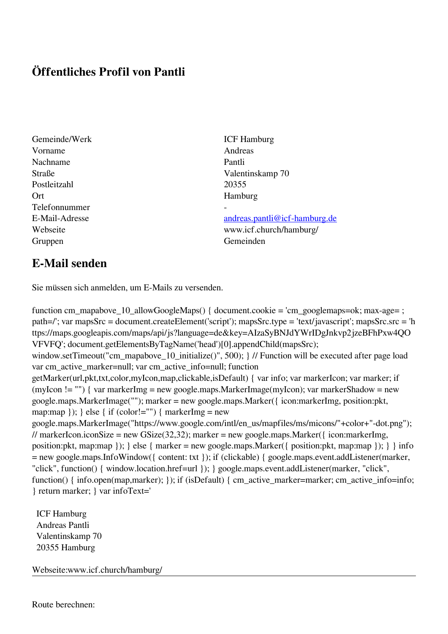## **Öffentliches Profil von Pantli**

- Gemeinde/Werk ICF Hamburg Vorname Andreas Nachname Pantli Postleitzahl 20355 Ort Hamburg Telefonnummer - Gruppen Gemeinden Gemeinden Gemeinden Gemeinden Gemeinden Gemeinden Gemeinden Gemeinden Gemeinden Gemeinden G
- Straße Valentinskamp 70

E-Mail-Adresse [andreas.pantli@icf-hamburg.de](mailto:andreas.pantli@icf-hamburg.de) Webseite www.icf.church/hamburg/

## **E-Mail senden**

Sie müssen sich anmelden, um E-Mails zu versenden.

function cm\_mapabove\_10\_allowGoogleMaps() { document.cookie = 'cm\_googlemaps=ok; max-age= ; path=/'; var mapsSrc = document.createElement('script'); mapsSrc.type = 'text/javascript'; mapsSrc.src = 'h ttps://maps.googleapis.com/maps/api/js?language=de&key=AIzaSyBNJdYWrIDgJnkvp2jzeBFhPxw4QO VFVFQ'; document.getElementsByTagName('head')[0].appendChild(mapsSrc); window.setTimeout("cm\_mapabove\_10\_initialize()", 500); } // Function will be executed after page load var cm\_active\_marker=null; var cm\_active\_info=null; function getMarker(url,pkt,txt,color,myIcon,map,clickable,isDefault) { var info; var markerIcon; var marker; if (myIcon != "") { var markerImg = new google.maps.MarkerImage(myIcon); var markerShadow = new google.maps.MarkerImage(""); marker = new google.maps.Marker({ icon:markerImg, position:pkt, map:map  $\}$ ;  $\}$  else  $\{$  if (color!="")  $\{$  markerImg = new google.maps.MarkerImage("https://www.google.com/intl/en\_us/mapfiles/ms/micons/"+color+"-dot.png"); // markerIcon.iconSize = new GSize(32,32); marker = new google.maps.Marker({ $i$ con:markerImg, position:pkt, map:map }); } else { marker = new google.maps.Marker({ position:pkt, map:map }); } } info = new google.maps.InfoWindow({ content: txt }); if (clickable) { google.maps.event.addListener(marker, "click", function() { window.location.href=url }); } google.maps.event.addListener(marker, "click", function() { info.open(map,marker); }); if (isDefault) { cm\_active\_marker=marker; cm\_active\_info=info; } return marker; } var infoText='

 ICF Hamburg Andreas Pantli Valentinskamp 70 20355 Hamburg

Webseite:www.icf.church/hamburg/